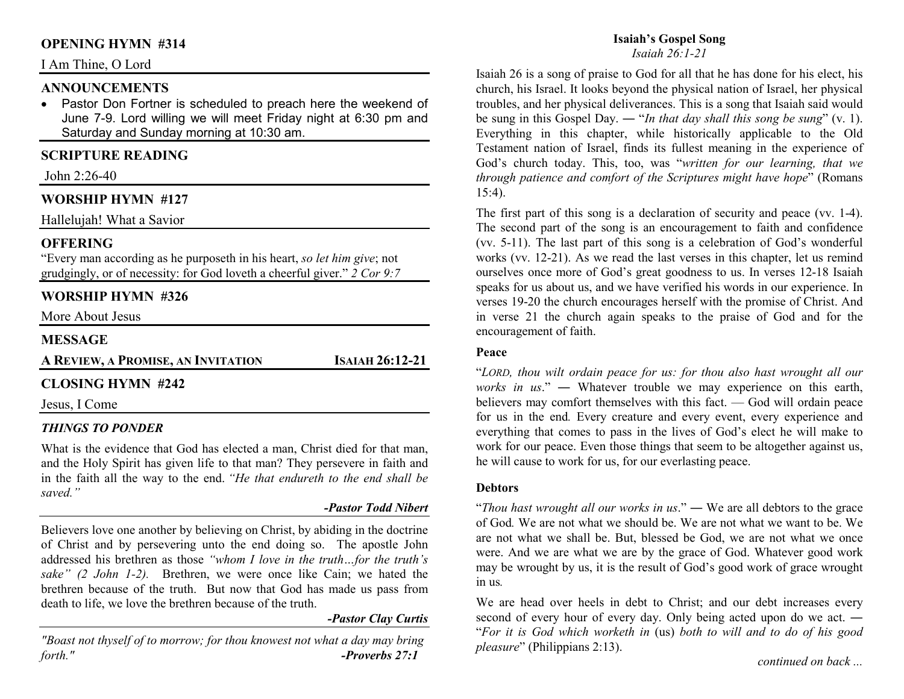## **OPENING HYMN #314**

## I Am Thine, O Lord

## **ANNOUNCEMENTS**

 • Pastor Don Fortner is scheduled to preach here the weekend of June 7-9. Lord willing we will meet Friday night at 6:30 pm and Saturday and Sunday morning at 10:30 am.

## **SCRIPTURE READING**

John 2:26-40

## **WORSHIP HYMN #127**

Hallelujah! What a Savior

#### **OFFERING**

 "Every man according as he purposeth in his heart, *so let him give*; not grudgingly, or of necessity: for God loveth a cheerful giver." *2 Cor 9:7*

## **WORSHIP HYMN #326**

More About Jesus

### **MESSAGE**

**AREVIEW,<sup>A</sup>PROMISE, AN INVITATION**

**<sup>I</sup>SAIAH 26:12-21** 

## **CLOSING HYMN #242**

Jesus, I Come

#### *THINGS TO PONDER*

What is the evidence that God has elected a man, Christ died for that man, and the Holy Spirit has given life to that man? They persevere in faith and in the faith all the way to the end. *"He that endureth to the end shall be saved."* 

#### *-Pastor Todd Nibert*

Believers love one another by believing on Christ, by abiding in the doctrine of Christ and by persevering unto the end doing so. The apostle John addressed his brethren as those *"whom I love in the truth…for the truth's sake" (2 John 1-2).* Brethren, we were once like Cain; we hated the brethren because of the truth. But now that God has made us pass from death to life, we love the brethren because of the truth.

#### *-Pastor Clay Curtis*

*"Boast not thyself of to morrow; for thou knowest not what a day may bring forth." -Proverbs 27:1*

# **Isaiah's Gospel Song**

*Isaiah 26:1-21*

Isaiah 26 is a song of praise to God for all that he has done for his elect, his church, his Israel. It looks beyond the physical nation of Israel, her physical troubles, and her physical deliverances. This is a song that Isaiah said would be sung in this Gospel Day. ― "*In that day shall this song be sung*" (v. 1). Everything in this chapter, while historically applicable to the Old Testament nation of Israel, finds its fullest meaning in the experience of God's church today. This, too, was "*written for our learning, that we through patience and comfort of the Scriptures might have hope*" (Romans 15:4).

The first part of this song is a declaration of security and peace (vv. 1-4). The second part of the song is an encouragement to faith and confidence (vv. 5-11). The last part of this song is a celebration of God's wonderful works (vv. 12-21). As we read the last verses in this chapter, let us remind ourselves once more of God's great goodness to us. In verses 12-18 Isaiah speaks for us about us, and we have verified his words in our experience. In verses 19-20 the church encourages herself with the promise of Christ. And in verse 21 the church again speaks to the praise of God and for the encouragement of faith.

#### **Peace**

"*LORD, thou wilt ordain peace for us: for thou also hast wrought all our works in us*." ― Whatever trouble we may experience on this earth, believers may comfort themselves with this fact. — God will ordain peace for us in the end*.* Every creature and every event, every experience and everything that comes to pass in the lives of God's elect he will make to work for our peace. Even those things that seem to be altogether against us, he will cause to work for us, for our everlasting peace.

#### **Debtors**

"*Thou hast wrought all our works in us*." ― We are all debtors to the grace of God*.* We are not what we should be. We are not what we want to be. We are not what we shall be. But, blessed be God, we are not what we once were. And we are what we are by the grace of God. Whatever good work may be wrought by us, it is the result of God's good work of grace wrought in us*.*

We are head over heels in debt to Christ: and our debt increases every second of every hour of every day. Only being acted upon do we act. ― "*For it is God which worketh in* (us) *both to will and to do of his good pleasure*" (Philippians 2:13).